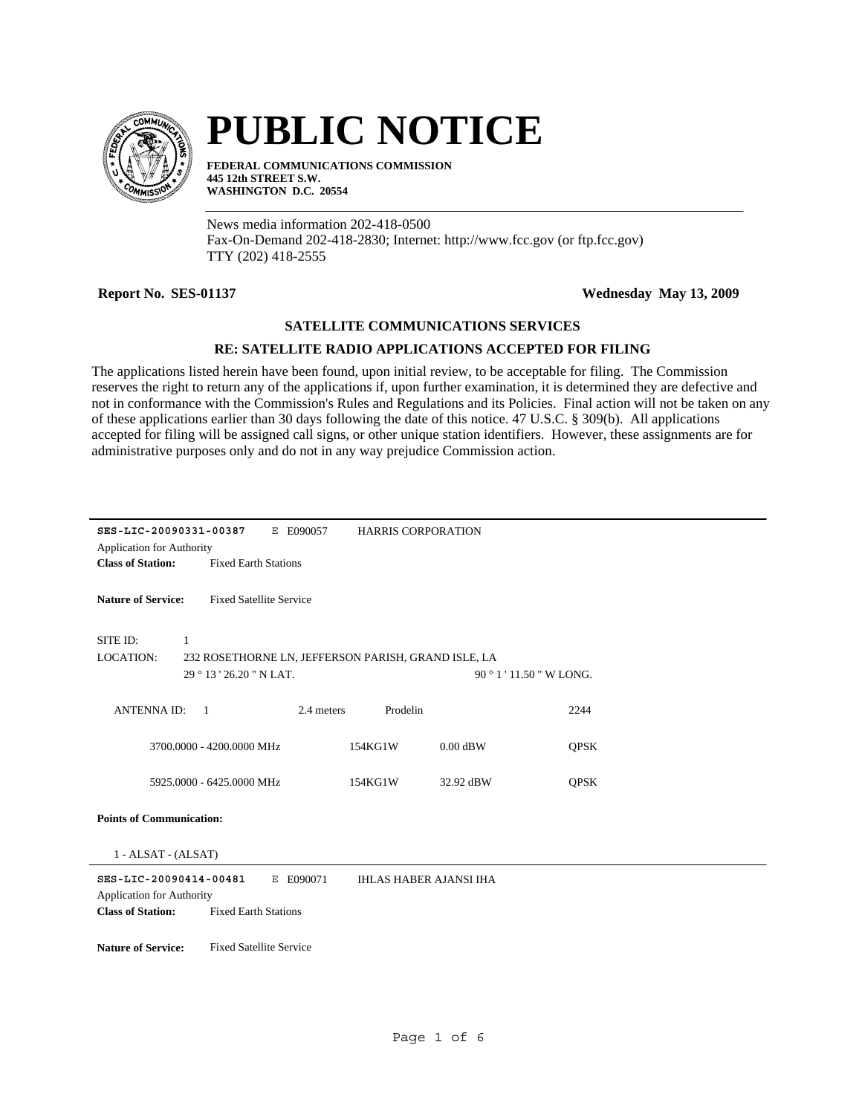

## **PUBLIC NOTICE**

**FEDERAL COMMUNICATIONS COMMISSION 445 12th STREET S.W. WASHINGTON D.C. 20554**

News media information 202-418-0500 Fax-On-Demand 202-418-2830; Internet: http://www.fcc.gov (or ftp.fcc.gov) TTY (202) 418-2555

**Report No. SES-01137 Wednesday May 13, 2009**

## **SATELLITE COMMUNICATIONS SERVICES**

## **RE: SATELLITE RADIO APPLICATIONS ACCEPTED FOR FILING**

The applications listed herein have been found, upon initial review, to be acceptable for filing. The Commission reserves the right to return any of the applications if, upon further examination, it is determined they are defective and not in conformance with the Commission's Rules and Regulations and its Policies. Final action will not be taken on any of these applications earlier than 30 days following the date of this notice. 47 U.S.C. § 309(b). All applications accepted for filing will be assigned call signs, or other unique station identifiers. However, these assignments are for administrative purposes only and do not in any way prejudice Commission action.

| SES-LIC-20090331-00387<br><b>Application for Authority</b>           |                                                     | E E090057  | <b>HARRIS CORPORATION</b> |            |                     |  |
|----------------------------------------------------------------------|-----------------------------------------------------|------------|---------------------------|------------|---------------------|--|
| <b>Class of Station:</b>                                             | <b>Fixed Earth Stations</b>                         |            |                           |            |                     |  |
|                                                                      |                                                     |            |                           |            |                     |  |
| <b>Nature of Service:</b>                                            | <b>Fixed Satellite Service</b>                      |            |                           |            |                     |  |
|                                                                      |                                                     |            |                           |            |                     |  |
| SITE ID:                                                             | 1                                                   |            |                           |            |                     |  |
| LOCATION:                                                            | 232 ROSETHORNE LN, JEFFERSON PARISH, GRAND ISLE, LA |            |                           |            |                     |  |
|                                                                      | 29 ° 13 ' 26.20 " N LAT.                            |            |                           |            | 90°1'11.50" W LONG. |  |
|                                                                      |                                                     |            |                           |            |                     |  |
| <b>ANTENNAID:</b>                                                    | $\overline{1}$                                      | 2.4 meters | Prodelin                  |            | 2244                |  |
|                                                                      |                                                     |            |                           |            |                     |  |
|                                                                      | 3700.0000 - 4200.0000 MHz                           | 154KG1W    |                           | $0.00$ dBW | <b>OPSK</b>         |  |
|                                                                      | 5925,0000 - 6425,0000 MHz                           | 154KG1W    |                           | 32.92 dBW  | <b>QPSK</b>         |  |
|                                                                      |                                                     |            |                           |            |                     |  |
| <b>Points of Communication:</b>                                      |                                                     |            |                           |            |                     |  |
|                                                                      |                                                     |            |                           |            |                     |  |
| 1 - ALSAT - (ALSAT)                                                  |                                                     |            |                           |            |                     |  |
| SES-LIC-20090414-00481<br>E E090071<br><b>IHLAS HABER AJANSI IHA</b> |                                                     |            |                           |            |                     |  |
| <b>Application for Authority</b>                                     |                                                     |            |                           |            |                     |  |
| <b>Class of Station:</b>                                             | <b>Fixed Earth Stations</b>                         |            |                           |            |                     |  |
|                                                                      |                                                     |            |                           |            |                     |  |
| <b>Nature of Service:</b>                                            | <b>Fixed Satellite Service</b>                      |            |                           |            |                     |  |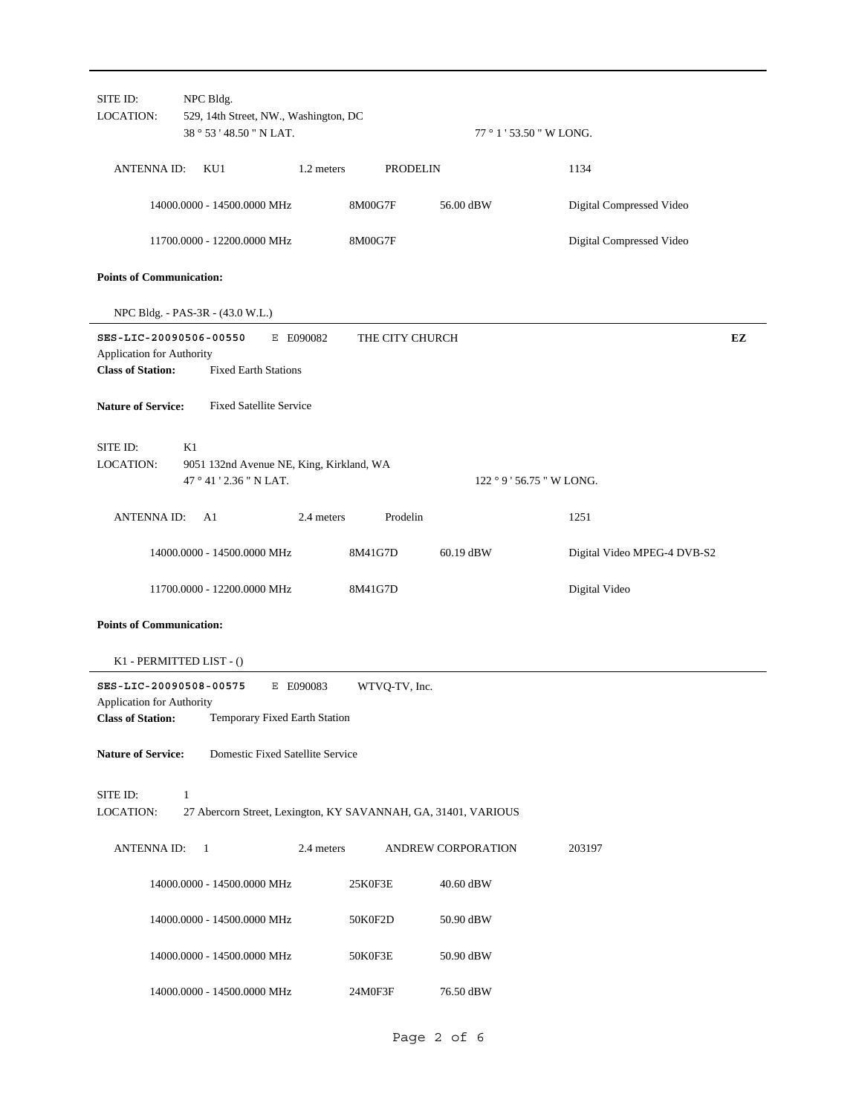| SITE ID:<br><b>LOCATION:</b>                          | NPC Bldg.                                                                 |                               |                    |                             |    |
|-------------------------------------------------------|---------------------------------------------------------------------------|-------------------------------|--------------------|-----------------------------|----|
|                                                       | 529, 14th Street, NW., Washington, DC<br>38 ° 53 ' 48.50 " N LAT.         |                               |                    | 77 ° 1 ' 53.50 " W LONG.    |    |
| <b>ANTENNA ID:</b>                                    | KU1                                                                       | 1.2 meters<br><b>PRODELIN</b> |                    | 1134                        |    |
|                                                       | 14000.0000 - 14500.0000 MHz                                               | 8M00G7F                       | 56.00 dBW          | Digital Compressed Video    |    |
|                                                       | 11700.0000 - 12200.0000 MHz                                               | 8M00G7F                       |                    | Digital Compressed Video    |    |
| <b>Points of Communication:</b>                       |                                                                           |                               |                    |                             |    |
|                                                       | NPC Bldg. - PAS-3R - (43.0 W.L.)                                          |                               |                    |                             |    |
| Application for Authority<br><b>Class of Station:</b> | SES-LIC-20090506-00550<br>E E090082<br><b>Fixed Earth Stations</b>        | THE CITY CHURCH               |                    |                             | EZ |
| <b>Nature of Service:</b>                             | <b>Fixed Satellite Service</b>                                            |                               |                    |                             |    |
| SITE ID:<br><b>LOCATION:</b>                          | K1<br>9051 132nd Avenue NE, King, Kirkland, WA<br>47 ° 41 ' 2.36 " N LAT. |                               |                    | 122 ° 9 ' 56.75 " W LONG.   |    |
| <b>ANTENNA ID:</b>                                    | A1                                                                        | Prodelin<br>2.4 meters        |                    | 1251                        |    |
|                                                       | 14000.0000 - 14500.0000 MHz                                               | 8M41G7D                       | 60.19 dBW          | Digital Video MPEG-4 DVB-S2 |    |
|                                                       | 11700.0000 - 12200.0000 MHz                                               | 8M41G7D                       |                    | Digital Video               |    |
| <b>Points of Communication:</b>                       |                                                                           |                               |                    |                             |    |
|                                                       | K1 - PERMITTED LIST - ()                                                  |                               |                    |                             |    |
|                                                       | SES-LIC-20090508-00575<br>E E090083                                       | WTVQ-TV, Inc.                 |                    |                             |    |
| <b>Application for Authority</b>                      | <b>Class of Station:</b> Temporary Fixed Earth Station                    |                               |                    |                             |    |
| <b>Nature of Service:</b>                             | Domestic Fixed Satellite Service                                          |                               |                    |                             |    |
| SITE ID:                                              | $\mathbf{1}$                                                              |                               |                    |                             |    |
| <b>LOCATION:</b>                                      | 27 Abercorn Street, Lexington, KY SAVANNAH, GA, 31401, VARIOUS            |                               |                    |                             |    |
| <b>ANTENNA ID:</b>                                    | -1                                                                        | 2.4 meters                    | ANDREW CORPORATION | 203197                      |    |
|                                                       | 14000.0000 - 14500.0000 MHz                                               | 25K0F3E                       | 40.60 dBW          |                             |    |
|                                                       | 14000.0000 - 14500.0000 MHz                                               | 50K0F2D                       | 50.90 dBW          |                             |    |
|                                                       | 14000.0000 - 14500.0000 MHz                                               | 50K0F3E                       | 50.90 dBW          |                             |    |
|                                                       | 14000.0000 - 14500.0000 MHz                                               | 24M0F3F                       | 76.50 dBW          |                             |    |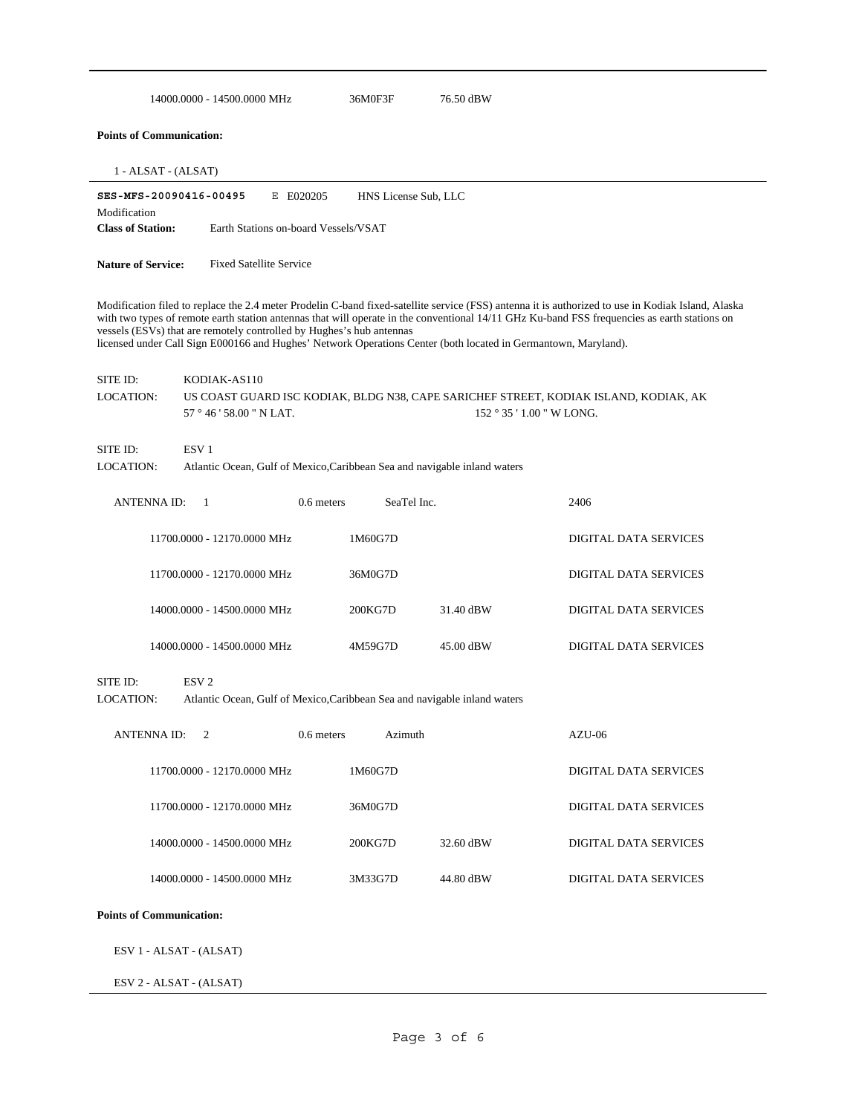|                                          | 14000.0000 - 14500.0000 MHz                                                                                                                                                            |                                                   | 36M0F3F              | 76.50 dBW                                                                 |                                                                                                                                                                                                                                                                                                    |
|------------------------------------------|----------------------------------------------------------------------------------------------------------------------------------------------------------------------------------------|---------------------------------------------------|----------------------|---------------------------------------------------------------------------|----------------------------------------------------------------------------------------------------------------------------------------------------------------------------------------------------------------------------------------------------------------------------------------------------|
| <b>Points of Communication:</b>          |                                                                                                                                                                                        |                                                   |                      |                                                                           |                                                                                                                                                                                                                                                                                                    |
| $1 - ALSAT - (ALSAT)$                    |                                                                                                                                                                                        |                                                   |                      |                                                                           |                                                                                                                                                                                                                                                                                                    |
| Modification<br><b>Class of Station:</b> | SES-MFS-20090416-00495                                                                                                                                                                 | E E020205<br>Earth Stations on-board Vessels/VSAT | HNS License Sub, LLC |                                                                           |                                                                                                                                                                                                                                                                                                    |
|                                          |                                                                                                                                                                                        |                                                   |                      |                                                                           |                                                                                                                                                                                                                                                                                                    |
| <b>Nature of Service:</b>                | <b>Fixed Satellite Service</b>                                                                                                                                                         |                                                   |                      |                                                                           |                                                                                                                                                                                                                                                                                                    |
|                                          | vessels (ESVs) that are remotely controlled by Hughes's hub antennas<br>licensed under Call Sign E000166 and Hughes' Network Operations Center (both located in Germantown, Maryland). |                                                   |                      |                                                                           | Modification filed to replace the 2.4 meter Prodelin C-band fixed-satellite service (FSS) antenna it is authorized to use in Kodiak Island, Alaska<br>with two types of remote earth station antennas that will operate in the conventional 14/11 GHz Ku-band FSS frequencies as earth stations on |
| SITE ID:                                 | KODIAK-AS110                                                                                                                                                                           |                                                   |                      |                                                                           |                                                                                                                                                                                                                                                                                                    |
| <b>LOCATION:</b>                         | 57 ° 46 ' 58.00 " N LAT.                                                                                                                                                               |                                                   |                      |                                                                           | US COAST GUARD ISC KODIAK, BLDG N38, CAPE SARICHEF STREET, KODIAK ISLAND, KODIAK, AK<br>152 ° 35 ' 1.00 " W LONG.                                                                                                                                                                                  |
| SITE ID:                                 | ESV <sub>1</sub>                                                                                                                                                                       |                                                   |                      |                                                                           |                                                                                                                                                                                                                                                                                                    |
| LOCATION:                                |                                                                                                                                                                                        |                                                   |                      | Atlantic Ocean, Gulf of Mexico, Caribbean Sea and navigable inland waters |                                                                                                                                                                                                                                                                                                    |
| <b>ANTENNA ID:</b>                       | 1                                                                                                                                                                                      | 0.6 meters                                        | SeaTel Inc.          |                                                                           | 2406                                                                                                                                                                                                                                                                                               |
|                                          | 11700.0000 - 12170.0000 MHz                                                                                                                                                            |                                                   | 1M60G7D              |                                                                           | DIGITAL DATA SERVICES                                                                                                                                                                                                                                                                              |
|                                          | 11700.0000 - 12170.0000 MHz                                                                                                                                                            |                                                   | 36M0G7D              |                                                                           | DIGITAL DATA SERVICES                                                                                                                                                                                                                                                                              |
|                                          | 14000.0000 - 14500.0000 MHz                                                                                                                                                            |                                                   | 200KG7D              | 31.40 dBW                                                                 | DIGITAL DATA SERVICES                                                                                                                                                                                                                                                                              |
|                                          | 14000.0000 - 14500.0000 MHz                                                                                                                                                            |                                                   | 4M59G7D              | 45.00 dBW                                                                 | DIGITAL DATA SERVICES                                                                                                                                                                                                                                                                              |
| SITE ID:<br>LOCATION:                    | ESV <sub>2</sub>                                                                                                                                                                       |                                                   |                      | Atlantic Ocean, Gulf of Mexico, Caribbean Sea and navigable inland waters |                                                                                                                                                                                                                                                                                                    |
| <b>ANTENNA ID:</b>                       | 2                                                                                                                                                                                      | $0.6$ meters                                      | Azimuth              |                                                                           | AZU-06                                                                                                                                                                                                                                                                                             |
|                                          | 11700.0000 - 12170.0000 MHz                                                                                                                                                            |                                                   | 1M60G7D              |                                                                           | DIGITAL DATA SERVICES                                                                                                                                                                                                                                                                              |
|                                          | 11700.0000 - 12170.0000 MHz                                                                                                                                                            |                                                   | 36M0G7D              |                                                                           | DIGITAL DATA SERVICES                                                                                                                                                                                                                                                                              |
|                                          | 14000.0000 - 14500.0000 MHz                                                                                                                                                            |                                                   | 200KG7D              | 32.60 dBW                                                                 | DIGITAL DATA SERVICES                                                                                                                                                                                                                                                                              |
|                                          | 14000.0000 - 14500.0000 MHz                                                                                                                                                            |                                                   | 3M33G7D              | 44.80 dBW                                                                 | DIGITAL DATA SERVICES                                                                                                                                                                                                                                                                              |
| <b>Points of Communication:</b>          |                                                                                                                                                                                        |                                                   |                      |                                                                           |                                                                                                                                                                                                                                                                                                    |
|                                          | ESV 1 - ALSAT - (ALSAT)                                                                                                                                                                |                                                   |                      |                                                                           |                                                                                                                                                                                                                                                                                                    |
|                                          | ESV 2 - ALSAT - (ALSAT)                                                                                                                                                                |                                                   |                      |                                                                           |                                                                                                                                                                                                                                                                                                    |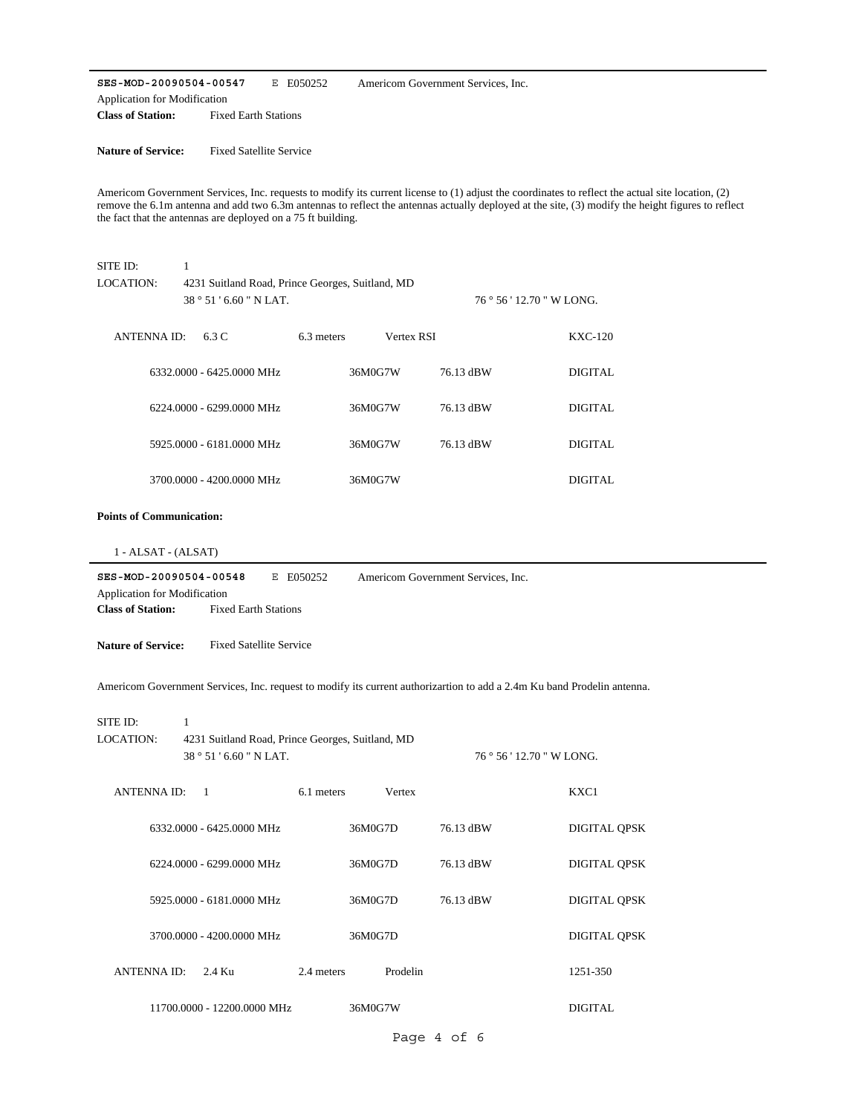**SES-MOD-20090504-00547** E E050252 **Class of Station:** Fixed Earth Stations Application for Modification Americom Government Services, Inc.

**Nature of Service:** Fixed Satellite Service

Americom Government Services, Inc. requests to modify its current license to (1) adjust the coordinates to reflect the actual site location, (2) remove the 6.1m antenna and add two 6.3m antennas to reflect the antennas actually deployed at the site, (3) modify the height figures to reflect the fact that the antennas are deployed on a 75 ft building.

| SITE ID:<br><b>LOCATION:</b>                                                       | $\mathbf{1}$<br>4231 Suitland Road, Prince Georges, Suitland, MD            |            |            |                                                                                                                         |                     |
|------------------------------------------------------------------------------------|-----------------------------------------------------------------------------|------------|------------|-------------------------------------------------------------------------------------------------------------------------|---------------------|
|                                                                                    | 38 ° 51 ' 6.60 " N LAT.                                                     |            |            | 76 ° 56 ' 12.70 " W LONG.                                                                                               |                     |
| <b>ANTENNA ID:</b>                                                                 | 6.3 C                                                                       | 6.3 meters | Vertex RSI |                                                                                                                         | <b>KXC-120</b>      |
|                                                                                    | 6332.0000 - 6425.0000 MHz                                                   |            | 36M0G7W    | 76.13 dBW                                                                                                               | <b>DIGITAL</b>      |
|                                                                                    | 6224.0000 - 6299.0000 MHz                                                   |            | 36M0G7W    | 76.13 dBW                                                                                                               | <b>DIGITAL</b>      |
|                                                                                    | 5925.0000 - 6181.0000 MHz                                                   |            | 36M0G7W    | 76.13 dBW                                                                                                               | <b>DIGITAL</b>      |
|                                                                                    | 3700.0000 - 4200.0000 MHz                                                   |            | 36M0G7W    |                                                                                                                         | <b>DIGITAL</b>      |
| <b>Points of Communication:</b>                                                    |                                                                             |            |            |                                                                                                                         |                     |
| 1 - ALSAT - (ALSAT)                                                                |                                                                             |            |            |                                                                                                                         |                     |
| SES-MOD-20090504-00548<br>Application for Modification<br><b>Class of Station:</b> | <b>Fixed Earth Stations</b>                                                 | E E050252  |            | Americom Government Services, Inc.                                                                                      |                     |
| <b>Nature of Service:</b>                                                          | <b>Fixed Satellite Service</b>                                              |            |            |                                                                                                                         |                     |
|                                                                                    |                                                                             |            |            | Americom Government Services, Inc. request to modify its current authorizartion to add a 2.4m Ku band Prodelin antenna. |                     |
| SITE ID:                                                                           | $\mathbf{1}$                                                                |            |            |                                                                                                                         |                     |
| <b>LOCATION:</b>                                                                   | 4231 Suitland Road, Prince Georges, Suitland, MD<br>38 ° 51 ' 6.60 " N LAT. |            |            | 76 ° 56 ' 12.70 " W LONG.                                                                                               |                     |
| <b>ANTENNA ID:</b>                                                                 | $\mathbf{1}$                                                                | 6.1 meters | Vertex     |                                                                                                                         | KXC1                |
|                                                                                    | 6332.0000 - 6425.0000 MHz                                                   |            | 36M0G7D    | 76.13 dBW                                                                                                               | <b>DIGITAL QPSK</b> |
|                                                                                    | 6224.0000 - 6299.0000 MHz                                                   |            | 36M0G7D    | 76.13 dBW                                                                                                               | <b>DIGITAL QPSK</b> |
|                                                                                    | 5925.0000 - 6181.0000 MHz                                                   |            | 36M0G7D    | 76.13 dBW                                                                                                               | <b>DIGITAL QPSK</b> |
|                                                                                    | 3700.0000 - 4200.0000 MHz                                                   |            | 36M0G7D    |                                                                                                                         | <b>DIGITAL QPSK</b> |
| <b>ANTENNA ID:</b>                                                                 | 2.4 Ku                                                                      | 2.4 meters | Prodelin   |                                                                                                                         | 1251-350            |
|                                                                                    | 11700.0000 - 12200.0000 MHz                                                 |            | 36M0G7W    |                                                                                                                         | <b>DIGITAL</b>      |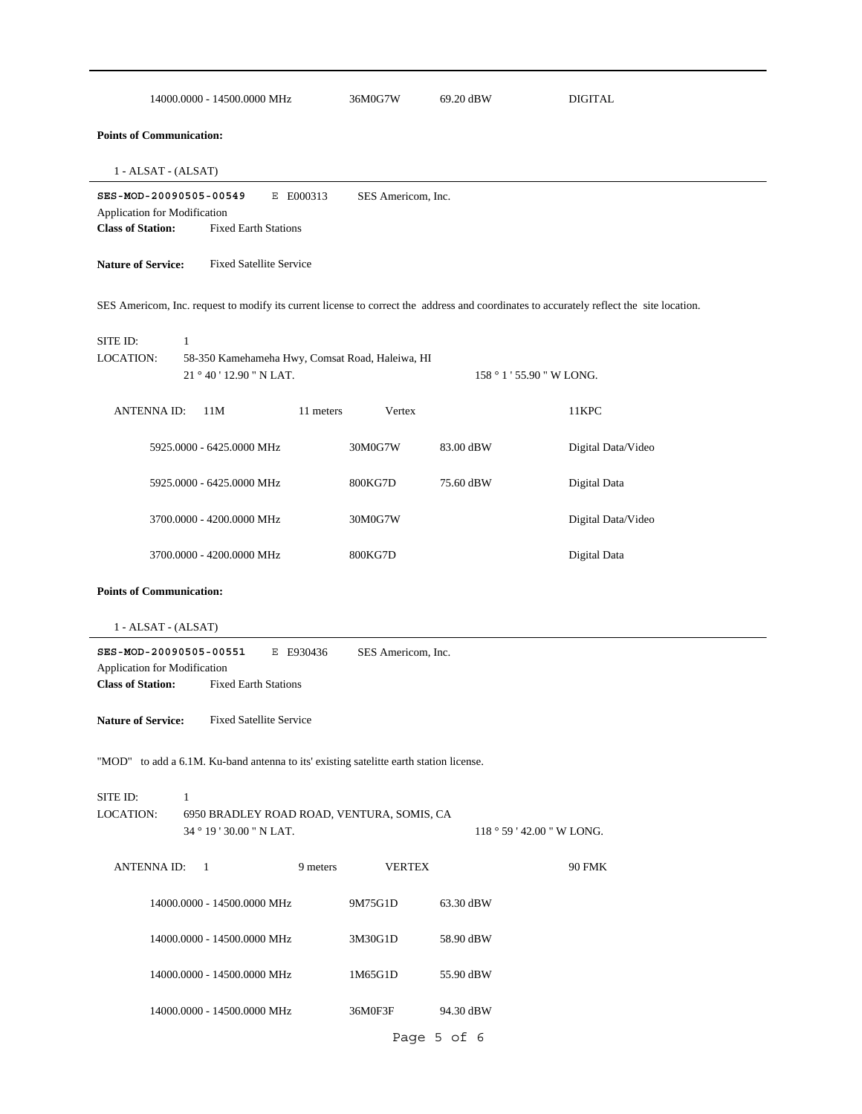| 14000.0000 - 14500.0000 MHz                                                                                                              | 36M0G7W            | 69.20 dBW   | <b>DIGITAL</b>            |
|------------------------------------------------------------------------------------------------------------------------------------------|--------------------|-------------|---------------------------|
| <b>Points of Communication:</b>                                                                                                          |                    |             |                           |
| 1 - ALSAT - (ALSAT)                                                                                                                      |                    |             |                           |
| SES-MOD-20090505-00549<br>E E000313<br>Application for Modification<br><b>Class of Station:</b><br><b>Fixed Earth Stations</b>           | SES Americom, Inc. |             |                           |
| <b>Nature of Service:</b><br><b>Fixed Satellite Service</b>                                                                              |                    |             |                           |
| SES Americom, Inc. request to modify its current license to correct the address and coordinates to accurately reflect the site location. |                    |             |                           |
| SITE ID:<br>$\mathbf{1}$<br><b>LOCATION:</b><br>58-350 Kamehameha Hwy, Comsat Road, Haleiwa, HI<br>21 ° 40 ' 12.90 " N LAT.              |                    |             | 158 ° 1 ' 55.90 " W LONG. |
| <b>ANTENNA ID:</b><br>11M<br>11 meters                                                                                                   | Vertex             |             | 11KPC                     |
| 5925.0000 - 6425.0000 MHz                                                                                                                | 30M0G7W            | 83.00 dBW   | Digital Data/Video        |
| 5925.0000 - 6425.0000 MHz                                                                                                                | 800KG7D            | 75.60 dBW   | Digital Data              |
| 3700.0000 - 4200.0000 MHz                                                                                                                | 30M0G7W            |             | Digital Data/Video        |
| 3700.0000 - 4200.0000 MHz                                                                                                                | 800KG7D            |             | Digital Data              |
| <b>Points of Communication:</b>                                                                                                          |                    |             |                           |
| 1 - ALSAT - (ALSAT)                                                                                                                      |                    |             |                           |
| SES-MOD-20090505-00551<br>E E930436<br>Application for Modification<br><b>Class of Station:</b><br><b>Fixed Earth Stations</b>           | SES Americom, Inc. |             |                           |
| <b>Fixed Satellite Service</b><br><b>Nature of Service:</b>                                                                              |                    |             |                           |
| "MOD" to add a 6.1M. Ku-band antenna to its' existing satelitte earth station license.                                                   |                    |             |                           |
| SITE ID:<br>$\mathbf{1}$                                                                                                                 |                    |             |                           |
| LOCATION:<br>6950 BRADLEY ROAD ROAD, VENTURA, SOMIS, CA<br>34 ° 19 ' 30.00 " N LAT.                                                      |                    |             | $118°59'42.00''$ W LONG.  |
| <b>ANTENNA ID:</b><br>-1<br>9 meters                                                                                                     | <b>VERTEX</b>      |             | <b>90 FMK</b>             |
| 14000.0000 - 14500.0000 MHz                                                                                                              | 9M75G1D            | 63.30 dBW   |                           |
| 14000.0000 - 14500.0000 MHz                                                                                                              | 3M30G1D            | 58.90 dBW   |                           |
| 14000.0000 - 14500.0000 MHz                                                                                                              | 1M65G1D            | 55.90 dBW   |                           |
| 14000.0000 - 14500.0000 MHz                                                                                                              | 36M0F3F            | 94.30 dBW   |                           |
|                                                                                                                                          |                    | Page 5 of 6 |                           |